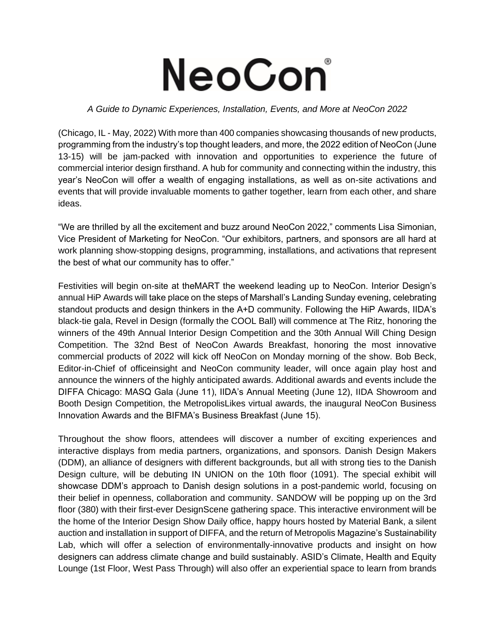## **NeoCon**

## *A Guide to Dynamic Experiences, Installation, Events, and More at NeoCon 2022*

(Chicago, IL - May, 2022) With more than 400 companies showcasing thousands of new products, programming from the industry's top thought leaders, and more, the 2022 edition of NeoCon (June 13-15) will be jam-packed with innovation and opportunities to experience the future of commercial interior design firsthand. A hub for community and connecting within the industry, this year's NeoCon will offer a wealth of engaging installations, as well as on-site activations and events that will provide invaluable moments to gather together, learn from each other, and share ideas.

"We are thrilled by all the excitement and buzz around NeoCon 2022," comments Lisa Simonian, Vice President of Marketing for NeoCon. "Our exhibitors, partners, and sponsors are all hard at work planning show-stopping designs, programming, installations, and activations that represent the best of what our community has to offer."

Festivities will begin on-site at theMART the weekend leading up to NeoCon. Interior Design's annual HiP Awards will take place on the steps of Marshall's Landing Sunday evening, celebrating standout products and design thinkers in the A+D community. Following the HiP Awards, IIDA's black-tie gala, Revel in Design (formally the COOL Ball) will commence at The Ritz, honoring the winners of the 49th Annual Interior Design Competition and the 30th Annual Will Ching Design Competition. The 32nd Best of NeoCon Awards Breakfast, honoring the most innovative commercial products of 2022 will kick off NeoCon on Monday morning of the show. Bob Beck, Editor-in-Chief of officeinsight and NeoCon community leader, will once again play host and announce the winners of the highly anticipated awards. Additional awards and events include the DIFFA Chicago: MASQ Gala (June 11), IIDA's Annual Meeting (June 12), IIDA Showroom and Booth Design Competition, the MetropolisLikes virtual awards, the inaugural NeoCon Business Innovation Awards and the BIFMA's Business Breakfast (June 15).

Throughout the show floors, attendees will discover a number of exciting experiences and interactive displays from media partners, organizations, and sponsors. Danish Design Makers (DDM), an alliance of designers with different backgrounds, but all with strong ties to the Danish Design culture, will be debuting IN UNION on the 10th floor (1091). The special exhibit will showcase DDM's approach to Danish design solutions in a post-pandemic world, focusing on their belief in openness, collaboration and community. SANDOW will be popping up on the 3rd floor (380) with their first-ever DesignScene gathering space. This interactive environment will be the home of the Interior Design Show Daily office, happy hours hosted by Material Bank, a silent auction and installation in support of DIFFA, and the return of Metropolis Magazine's Sustainability Lab, which will offer a selection of environmentally-innovative products and insight on how designers can address climate change and build sustainably. ASID's Climate, Health and Equity Lounge (1st Floor, West Pass Through) will also offer an experiential space to learn from brands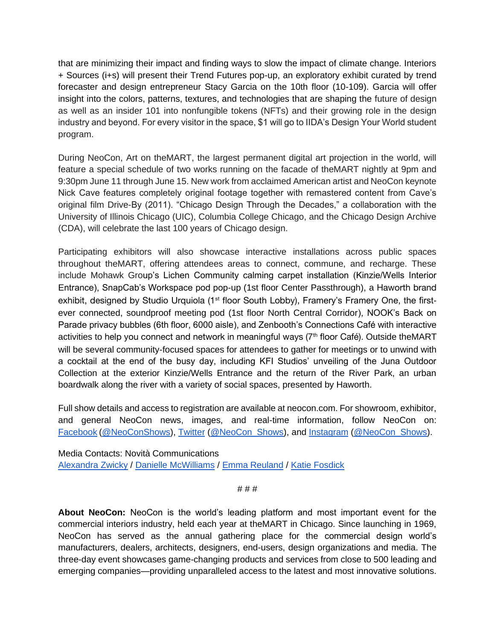that are minimizing their impact and finding ways to slow the impact of climate change. Interiors + Sources (i+s) will present their Trend Futures pop-up, an exploratory exhibit curated by trend forecaster and design entrepreneur Stacy Garcia on the 10th floor (10-109). Garcia will offer insight into the colors, patterns, textures, and technologies that are shaping the future of design as well as an insider 101 into nonfungible tokens (NFTs) and their growing role in the design industry and beyond. For every visitor in the space, \$1 will go to IIDA's Design Your World student program.

During NeoCon, Art on theMART, the largest permanent digital art projection in the world, will feature a special schedule of two works running on the facade of theMART nightly at 9pm and 9:30pm June 11 through June 15. New work from acclaimed American artist and NeoCon keynote Nick Cave features completely original footage together with remastered content from Cave's original film Drive-By (2011). "Chicago Design Through the Decades," a collaboration with the University of Illinois Chicago (UIC), Columbia College Chicago, and the Chicago Design Archive (CDA), will celebrate the last 100 years of Chicago design.

Participating exhibitors will also showcase interactive installations across public spaces throughout theMART, offering attendees areas to connect, commune, and recharge. These include Mohawk Group's Lichen Community calming carpet installation (Kinzie/Wells Interior Entrance), SnapCab's Workspace pod pop-up (1st floor Center Passthrough), a Haworth brand exhibit, designed by Studio Urquiola ( $1<sup>st</sup>$  floor South Lobby), Framery's Framery One, the firstever connected, soundproof meeting pod (1st floor North Central Corridor), NOOK's Back on Parade privacy bubbles (6th floor, 6000 aisle), and Zenbooth's Connections Café with interactive activities to help you connect and network in meaningful ways (7<sup>th</sup> floor Café). Outside theMART will be several community-focused spaces for attendees to gather for meetings or to unwind with a cocktail at the end of the busy day, including KFI Studios' unveiling of the Juna Outdoor Collection at the exterior Kinzie/Wells Entrance and the return of the River Park, an urban boardwalk along the river with a variety of social spaces, presented by Haworth.

Full show details and access to registration are available at neocon.com. For showroom, exhibitor, and general NeoCon news, images, and real-time information, follow NeoCon on[:](https://www.facebook.com/neoconshows/?ref=br_rs) [Facebook](https://www.facebook.com/neoconshows/?ref=br_rs) [\(@NeoConShows\)](https://www.facebook.com/neoconshows/)[,](https://twitter.com/neocon_shows?lang=en) [Twitter](https://twitter.com/neocon_shows?lang=en) [\(@NeoCon\\_Shows\)](https://twitter.com/neocon_shows?lang=en), an[d](https://www.instagram.com/neocon_shows/?hl=en) [Instagram](https://www.instagram.com/neocon_shows/?hl=en) [\(@NeoCon\\_Shows\)](https://www.instagram.com/neocon_shows/?hl=en).

Media Contacts: Novità Communications [Alexandra Zwicky](mailto:alexandra@novitapr.com) / [Danielle McWilliams](mailto:danielle@novitapr.com) / [Emma Reuland](mailto:emma@novitapr.com) / [Katie Fosdick](mailto:katiefosdick@novitapr.com)

# # #

**About NeoCon:** NeoCon is the world's leading platform and most important event for the commercial interiors industry, held each year at theMART in Chicago. Since launching in 1969, NeoCon has served as the annual gathering place for the commercial design world's manufacturers, dealers, architects, designers, end-users, design organizations and media. The three-day event showcases game-changing products and services from close to 500 leading and emerging companies—providing unparalleled access to the latest and most innovative solutions.